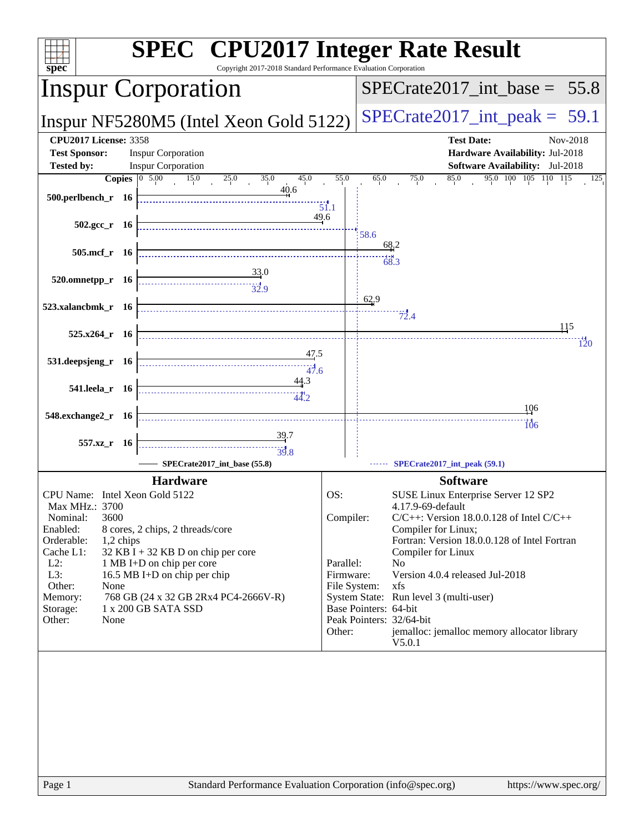| spec                                                                      | <b>SPEC<sup>®</sup></b> CPU2017 Integer Rate Result<br>Copyright 2017-2018 Standard Performance Evaluation Corporation                                                                                                                                                                                                                                                                                                                                                                                                |                                  |                                  |                                                                                                     |  |  |
|---------------------------------------------------------------------------|-----------------------------------------------------------------------------------------------------------------------------------------------------------------------------------------------------------------------------------------------------------------------------------------------------------------------------------------------------------------------------------------------------------------------------------------------------------------------------------------------------------------------|----------------------------------|----------------------------------|-----------------------------------------------------------------------------------------------------|--|--|
|                                                                           | <b>Inspur Corporation</b>                                                                                                                                                                                                                                                                                                                                                                                                                                                                                             | $SPECTate2017\_int\_base = 55.8$ |                                  |                                                                                                     |  |  |
|                                                                           | Inspur NF5280M5 (Intel Xeon Gold 5122)                                                                                                                                                                                                                                                                                                                                                                                                                                                                                |                                  | $SPECrate2017\_int\_peak = 59.1$ |                                                                                                     |  |  |
| <b>CPU2017 License: 3358</b><br><b>Test Sponsor:</b><br><b>Tested by:</b> | <b>Inspur Corporation</b><br><b>Inspur Corporation</b>                                                                                                                                                                                                                                                                                                                                                                                                                                                                |                                  |                                  | <b>Test Date:</b><br>Nov-2018<br>Hardware Availability: Jul-2018<br>Software Availability: Jul-2018 |  |  |
|                                                                           | <b>Copies</b> $\begin{bmatrix} 0 & 5.00 & 15.0 \end{bmatrix}$<br>25.0<br>35.0<br>45.0                                                                                                                                                                                                                                                                                                                                                                                                                                 | 55.0                             | 65.0                             | 95.0 100 105 110 115<br>85.0<br>75.0<br>125                                                         |  |  |
| 500.perlbench_r 16                                                        | 40.6                                                                                                                                                                                                                                                                                                                                                                                                                                                                                                                  | $\overline{51.1}$                |                                  |                                                                                                     |  |  |
| $502.\text{gcc}_r$ 16                                                     | 49.6                                                                                                                                                                                                                                                                                                                                                                                                                                                                                                                  |                                  | 58.6                             |                                                                                                     |  |  |
| 505.mcf_r 16                                                              |                                                                                                                                                                                                                                                                                                                                                                                                                                                                                                                       |                                  |                                  | 68.2                                                                                                |  |  |
| 520.omnetpp_r 16                                                          | $\frac{33.0}{32.9}$                                                                                                                                                                                                                                                                                                                                                                                                                                                                                                   |                                  |                                  | 68.3                                                                                                |  |  |
| 523.xalancbmk_r 16                                                        |                                                                                                                                                                                                                                                                                                                                                                                                                                                                                                                       |                                  | 62.9                             | $\frac{7}{2.4}$                                                                                     |  |  |
| $525.x264_r$ 16                                                           |                                                                                                                                                                                                                                                                                                                                                                                                                                                                                                                       |                                  |                                  | 115<br>120                                                                                          |  |  |
| 531.deepsjeng_r 16                                                        | <u>47.5</u>                                                                                                                                                                                                                                                                                                                                                                                                                                                                                                           |                                  |                                  |                                                                                                     |  |  |
| 541.leela_r 16                                                            | 44.3<br>$\begin{array}{c c c c c} \hline \multicolumn{3}{c }{\textbf{\textcolor{blue}{\bf -}} } & & & \multicolumn{2}{c }{\textbf{\textcolor{blue}{\bf -}} } \\ \hline \multicolumn{2}{c }{\textbf{\textcolor{blue}{\bf -}} } & & & \multicolumn{2}{c }{\textbf{\textcolor{blue}{\bf -}} } \\ \hline \multicolumn{2}{c }{\textbf{\textcolor{blue}{\bf -}} } & & & \multicolumn{2}{c }{\textbf{\textcolor{blue}{\bf -}} } \\ \hline \multicolumn{2}{c }{\textbf{\textcolor{blue}{\bf -}} } & & & \multicolumn{2}{c }{$ |                                  |                                  |                                                                                                     |  |  |
| 548.exchange2_r 16                                                        |                                                                                                                                                                                                                                                                                                                                                                                                                                                                                                                       |                                  |                                  | 106<br>$\overline{106}$                                                                             |  |  |
|                                                                           |                                                                                                                                                                                                                                                                                                                                                                                                                                                                                                                       |                                  |                                  |                                                                                                     |  |  |
| 557.xz_r 16                                                               | 39.8                                                                                                                                                                                                                                                                                                                                                                                                                                                                                                                  |                                  |                                  |                                                                                                     |  |  |
|                                                                           | SPECrate2017_int_base (55.8)                                                                                                                                                                                                                                                                                                                                                                                                                                                                                          |                                  |                                  | SPECrate2017_int_peak (59.1)                                                                        |  |  |
|                                                                           | <b>Hardware</b>                                                                                                                                                                                                                                                                                                                                                                                                                                                                                                       |                                  |                                  | <b>Software</b>                                                                                     |  |  |
| CPU Name: Intel Xeon Gold 5122                                            |                                                                                                                                                                                                                                                                                                                                                                                                                                                                                                                       | OS:                              |                                  | SUSE Linux Enterprise Server 12 SP2                                                                 |  |  |
| Max MHz.: 3700<br>3600<br>Nominal:                                        |                                                                                                                                                                                                                                                                                                                                                                                                                                                                                                                       | Compiler:                        |                                  | 4.17.9-69-default<br>$C/C++$ : Version 18.0.0.128 of Intel $C/C++$                                  |  |  |
| Enabled:                                                                  | 8 cores, 2 chips, 2 threads/core                                                                                                                                                                                                                                                                                                                                                                                                                                                                                      |                                  |                                  | Compiler for Linux;                                                                                 |  |  |
| Orderable:<br>1,2 chips                                                   |                                                                                                                                                                                                                                                                                                                                                                                                                                                                                                                       |                                  |                                  | Fortran: Version 18.0.0.128 of Intel Fortran                                                        |  |  |
| Cache L1:<br>$L2$ :                                                       | $32$ KB I + 32 KB D on chip per core                                                                                                                                                                                                                                                                                                                                                                                                                                                                                  | Parallel:                        |                                  | Compiler for Linux<br>No                                                                            |  |  |
| L3:                                                                       | 1 MB I+D on chip per core<br>16.5 MB I+D on chip per chip                                                                                                                                                                                                                                                                                                                                                                                                                                                             | Firmware:                        |                                  | Version 4.0.4 released Jul-2018                                                                     |  |  |
| Other:<br>None                                                            |                                                                                                                                                                                                                                                                                                                                                                                                                                                                                                                       | File System:                     |                                  | xfs                                                                                                 |  |  |
| Memory:<br>Storage:                                                       | 768 GB (24 x 32 GB 2Rx4 PC4-2666V-R)<br>1 x 200 GB SATA SSD                                                                                                                                                                                                                                                                                                                                                                                                                                                           |                                  | Base Pointers: 64-bit            | System State: Run level 3 (multi-user)                                                              |  |  |
| Other:<br>None                                                            |                                                                                                                                                                                                                                                                                                                                                                                                                                                                                                                       |                                  |                                  | Peak Pointers: 32/64-bit                                                                            |  |  |
|                                                                           |                                                                                                                                                                                                                                                                                                                                                                                                                                                                                                                       | Other:                           |                                  | jemalloc: jemalloc memory allocator library<br>V5.0.1                                               |  |  |
|                                                                           |                                                                                                                                                                                                                                                                                                                                                                                                                                                                                                                       |                                  |                                  |                                                                                                     |  |  |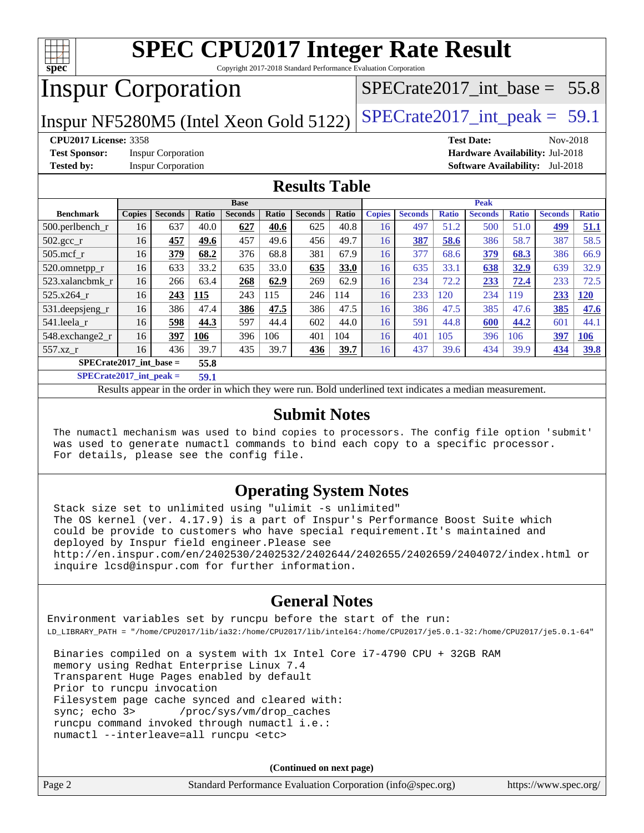

Copyright 2017-2018 Standard Performance Evaluation Corporation

## Inspur Corporation

Inspur NF5280M5 (Intel Xeon Gold 5122)  $|SPECrate2017\_int\_peak = 59.1$ 

SPECrate2017 int\_base =  $55.8$ 

#### **[CPU2017 License:](http://www.spec.org/auto/cpu2017/Docs/result-fields.html#CPU2017License)** 3358 **[Test Date:](http://www.spec.org/auto/cpu2017/Docs/result-fields.html#TestDate)** Nov-2018

**[Test Sponsor:](http://www.spec.org/auto/cpu2017/Docs/result-fields.html#TestSponsor)** Inspur Corporation **[Hardware Availability:](http://www.spec.org/auto/cpu2017/Docs/result-fields.html#HardwareAvailability)** Jul-2018

**[Tested by:](http://www.spec.org/auto/cpu2017/Docs/result-fields.html#Testedby)** Inspur Corporation **[Software Availability:](http://www.spec.org/auto/cpu2017/Docs/result-fields.html#SoftwareAvailability)** Jul-2018

#### **[Results Table](http://www.spec.org/auto/cpu2017/Docs/result-fields.html#ResultsTable)**

|                                   | <b>Base</b>   |                |       |                |       | <b>Peak</b>    |       |               |                |              |                |              |                |              |
|-----------------------------------|---------------|----------------|-------|----------------|-------|----------------|-------|---------------|----------------|--------------|----------------|--------------|----------------|--------------|
| <b>Benchmark</b>                  | <b>Copies</b> | <b>Seconds</b> | Ratio | <b>Seconds</b> | Ratio | <b>Seconds</b> | Ratio | <b>Copies</b> | <b>Seconds</b> | <b>Ratio</b> | <b>Seconds</b> | <b>Ratio</b> | <b>Seconds</b> | <b>Ratio</b> |
| $500.$ perlbench_r                | 16            | 637            | 40.0  | 627            | 40.6  | 625            | 40.8  | 16            | 497            | 51.2         | 500            | 51.0         | 499            | 51.1         |
| 502.gcc_r                         | 16            | 457            | 49.6  | 457            | 49.6  | 456            | 49.7  | 16            | 387            | 58.6         | 386            | 58.7         | 387            | 58.5         |
| $505$ .mcf r                      | 16            | 379            | 68.2  | 376            | 68.8  | 381            | 67.9  | 16            | 377            | 68.6         | 379            | 68.3         | 386            | 66.9         |
| 520.omnetpp_r                     | 16            | 633            | 33.2  | 635            | 33.0  | 635            | 33.0  | 16            | 635            | 33.1         | 638            | 32.9         | 639            | 32.9         |
| 523.xalancbmk r                   | 16            | 266            | 63.4  | 268            | 62.9  | 269            | 62.9  | 16            | 234            | 72.2         | 233            | 72.4         | 233            | 72.5         |
| 525.x264 r                        | 16            | 243            | 115   | 243            | 115   | 246            | 114   | 16            | 233            | 120          | 234            | 119          | 233            | <u>120</u>   |
| $531.$ deepsjeng $_r$             | 16            | 386            | 47.4  | 386            | 47.5  | 386            | 47.5  | 16            | 386            | 47.5         | 385            | 47.6         | 385            | 47.6         |
| 541.leela r                       | 16            | 598            | 44.3  | 597            | 44.4  | 602            | 44.0  | 16            | 591            | 44.8         | 600            | 44.2         | 601            | 44.1         |
| 548.exchange2 r                   | 16            | 397            | 106   | 396            | 106   | 401            | 104   | 16            | 401            | 105          | 396            | 106          | 397            | <u>106</u>   |
| 557.xz r                          | 16            | 436            | 39.7  | 435            | 39.7  | 436            | 39.7  | 16            | 437            | 39.6         | 434            | 39.9         | 434            | <u>39.8</u>  |
| $SPECrate2017$ int base =<br>55.8 |               |                |       |                |       |                |       |               |                |              |                |              |                |              |
| -----                             |               |                |       |                |       |                |       |               |                |              |                |              |                |              |

**[SPECrate2017\\_int\\_peak =](http://www.spec.org/auto/cpu2017/Docs/result-fields.html#SPECrate2017intpeak) 59.1**

Results appear in the [order in which they were run.](http://www.spec.org/auto/cpu2017/Docs/result-fields.html#RunOrder) Bold underlined text [indicates a median measurement.](http://www.spec.org/auto/cpu2017/Docs/result-fields.html#Median)

#### **[Submit Notes](http://www.spec.org/auto/cpu2017/Docs/result-fields.html#SubmitNotes)**

 The numactl mechanism was used to bind copies to processors. The config file option 'submit' was used to generate numactl commands to bind each copy to a specific processor. For details, please see the config file.

#### **[Operating System Notes](http://www.spec.org/auto/cpu2017/Docs/result-fields.html#OperatingSystemNotes)**

 Stack size set to unlimited using "ulimit -s unlimited" The OS kernel (ver. 4.17.9) is a part of Inspur's Performance Boost Suite which could be provide to customers who have special requirement.It's maintained and deployed by Inspur field engineer.Please see <http://en.inspur.com/en/2402530/2402532/2402644/2402655/2402659/2404072/index.html> or inquire lcsd@inspur.com for further information.

#### **[General Notes](http://www.spec.org/auto/cpu2017/Docs/result-fields.html#GeneralNotes)**

Environment variables set by runcpu before the start of the run: LD\_LIBRARY\_PATH = "/home/CPU2017/lib/ia32:/home/CPU2017/lib/intel64:/home/CPU2017/je5.0.1-32:/home/CPU2017/je5.0.1-64"

 Binaries compiled on a system with 1x Intel Core i7-4790 CPU + 32GB RAM memory using Redhat Enterprise Linux 7.4 Transparent Huge Pages enabled by default Prior to runcpu invocation Filesystem page cache synced and cleared with: sync; echo 3> /proc/sys/vm/drop\_caches runcpu command invoked through numactl i.e.: numactl --interleave=all runcpu <etc>

**(Continued on next page)**

| Page 2 | Standard Performance Evaluation Corporation (info@spec.org) | https://www.spec.org/ |
|--------|-------------------------------------------------------------|-----------------------|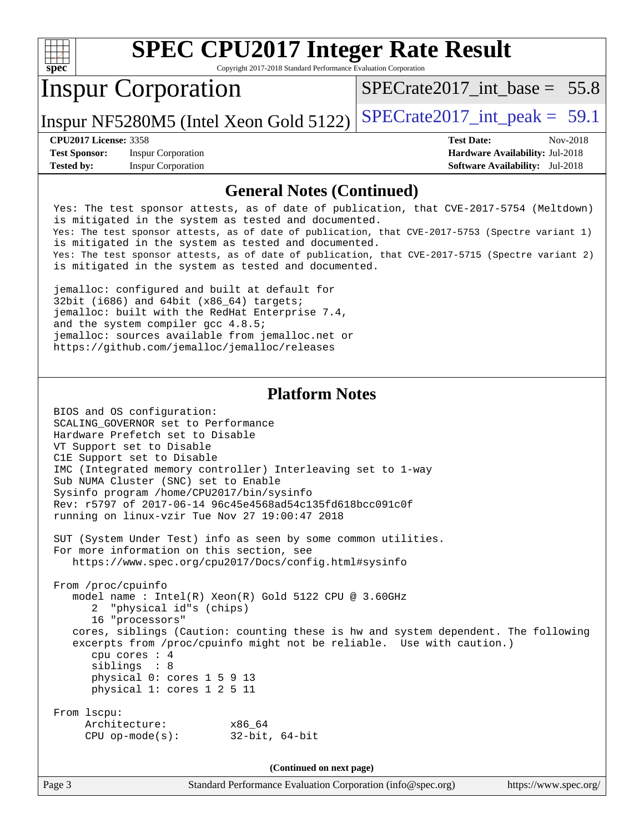| <b>SPEC CPU2017 Integer Rate Result</b><br>Copyright 2017-2018 Standard Performance Evaluation Corporation<br>spec |                                                                                                                                                                                                                                                                                                                                                                                                                                                                 |                                                                                                                                                                                                                                                                                                 |  |  |  |  |  |
|--------------------------------------------------------------------------------------------------------------------|-----------------------------------------------------------------------------------------------------------------------------------------------------------------------------------------------------------------------------------------------------------------------------------------------------------------------------------------------------------------------------------------------------------------------------------------------------------------|-------------------------------------------------------------------------------------------------------------------------------------------------------------------------------------------------------------------------------------------------------------------------------------------------|--|--|--|--|--|
|                                                                                                                    | <b>Inspur Corporation</b>                                                                                                                                                                                                                                                                                                                                                                                                                                       | $SPECTate2017$ int base = 55.8                                                                                                                                                                                                                                                                  |  |  |  |  |  |
|                                                                                                                    | Inspur NF5280M5 (Intel Xeon Gold 5122)                                                                                                                                                                                                                                                                                                                                                                                                                          | $SPECrate2017\_int\_peak = 59.1$                                                                                                                                                                                                                                                                |  |  |  |  |  |
| <b>CPU2017 License: 3358</b><br><b>Test Sponsor:</b><br><b>Tested by:</b>                                          | <b>Inspur Corporation</b><br><b>Inspur Corporation</b>                                                                                                                                                                                                                                                                                                                                                                                                          | <b>Test Date:</b><br>Nov-2018<br>Hardware Availability: Jul-2018<br><b>Software Availability:</b> Jul-2018                                                                                                                                                                                      |  |  |  |  |  |
|                                                                                                                    | <b>General Notes (Continued)</b>                                                                                                                                                                                                                                                                                                                                                                                                                                |                                                                                                                                                                                                                                                                                                 |  |  |  |  |  |
|                                                                                                                    | is mitigated in the system as tested and documented.<br>is mitigated in the system as tested and documented.<br>is mitigated in the system as tested and documented.<br>jemalloc: configured and built at default for<br>32bit (i686) and 64bit (x86_64) targets;<br>jemalloc: built with the RedHat Enterprise 7.4,<br>and the system compiler gcc 4.8.5;<br>jemalloc: sources available from jemalloc.net or<br>https://github.com/jemalloc/jemalloc/releases | Yes: The test sponsor attests, as of date of publication, that CVE-2017-5754 (Meltdown)<br>Yes: The test sponsor attests, as of date of publication, that CVE-2017-5753 (Spectre variant 1)<br>Yes: The test sponsor attests, as of date of publication, that CVE-2017-5715 (Spectre variant 2) |  |  |  |  |  |
|                                                                                                                    | <b>Platform Notes</b><br>BIOS and OS configuration:<br>SCALING_GOVERNOR set to Performance<br>Hardware Prefetch set to Disable<br>VT Support set to Disable<br>C1E Support set to Disable<br>IMC (Integrated memory controller) Interleaving set to 1-way<br>Sub NUMA Cluster (SNC) set to Enable<br>Sysinfo program /home/CPU2017/bin/sysinfo<br>Rev: r5797 of 2017-06-14 96c45e4568ad54c135fd618bcc091c0f<br>running on linux-vzir Tue Nov 27 19:00:47 2018   |                                                                                                                                                                                                                                                                                                 |  |  |  |  |  |

 SUT (System Under Test) info as seen by some common utilities. For more information on this section, see <https://www.spec.org/cpu2017/Docs/config.html#sysinfo>

 From /proc/cpuinfo model name : Intel(R) Xeon(R) Gold 5122 CPU @ 3.60GHz 2 "physical id"s (chips) 16 "processors" cores, siblings (Caution: counting these is hw and system dependent. The following excerpts from /proc/cpuinfo might not be reliable. Use with caution.) cpu cores : 4 siblings : 8 physical 0: cores 1 5 9 13 physical 1: cores 1 2 5 11 From lscpu: Architecture: x86\_64 CPU op-mode(s): 32-bit, 64-bit

**(Continued on next page)**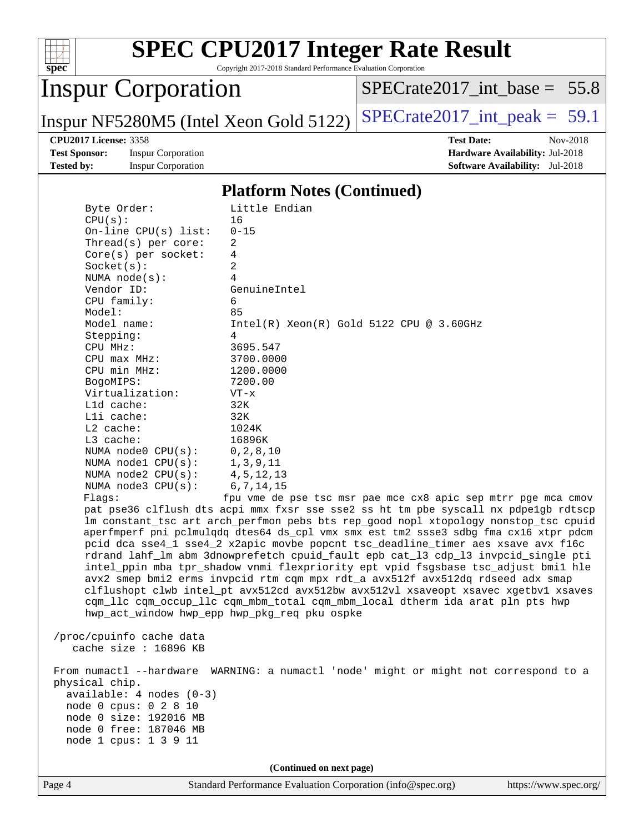

Copyright 2017-2018 Standard Performance Evaluation Corporation

## Inspur Corporation

[SPECrate2017\\_int\\_base =](http://www.spec.org/auto/cpu2017/Docs/result-fields.html#SPECrate2017intbase) 55.8

Inspur NF5280M5 (Intel Xeon Gold 5122)  $|SPECrate2017\_int\_peak = 59.1$ 

**[Test Sponsor:](http://www.spec.org/auto/cpu2017/Docs/result-fields.html#TestSponsor)** Inspur Corporation **[Hardware Availability:](http://www.spec.org/auto/cpu2017/Docs/result-fields.html#HardwareAvailability)** Jul-2018 **[Tested by:](http://www.spec.org/auto/cpu2017/Docs/result-fields.html#Testedby)** Inspur Corporation **[Software Availability:](http://www.spec.org/auto/cpu2017/Docs/result-fields.html#SoftwareAvailability)** Jul-2018

**[CPU2017 License:](http://www.spec.org/auto/cpu2017/Docs/result-fields.html#CPU2017License)** 3358 **[Test Date:](http://www.spec.org/auto/cpu2017/Docs/result-fields.html#TestDate)** Nov-2018

#### **[Platform Notes \(Continued\)](http://www.spec.org/auto/cpu2017/Docs/result-fields.html#PlatformNotes)**

| Byte Order:                                                                                                                                        | Little Endian                                                                                                                                                                                                                                                                                                                                                                                                                                                                                                                                                                                                                                                                                                                                                                                                                                              |
|----------------------------------------------------------------------------------------------------------------------------------------------------|------------------------------------------------------------------------------------------------------------------------------------------------------------------------------------------------------------------------------------------------------------------------------------------------------------------------------------------------------------------------------------------------------------------------------------------------------------------------------------------------------------------------------------------------------------------------------------------------------------------------------------------------------------------------------------------------------------------------------------------------------------------------------------------------------------------------------------------------------------|
| CPU(s):                                                                                                                                            | 16                                                                                                                                                                                                                                                                                                                                                                                                                                                                                                                                                                                                                                                                                                                                                                                                                                                         |
| On-line $CPU(s)$ list:                                                                                                                             | $0 - 15$                                                                                                                                                                                                                                                                                                                                                                                                                                                                                                                                                                                                                                                                                                                                                                                                                                                   |
| Thread(s) per core:                                                                                                                                | $\overline{2}$                                                                                                                                                                                                                                                                                                                                                                                                                                                                                                                                                                                                                                                                                                                                                                                                                                             |
| $Core(s)$ per socket:                                                                                                                              | 4                                                                                                                                                                                                                                                                                                                                                                                                                                                                                                                                                                                                                                                                                                                                                                                                                                                          |
| Socket(s):                                                                                                                                         | 2                                                                                                                                                                                                                                                                                                                                                                                                                                                                                                                                                                                                                                                                                                                                                                                                                                                          |
| NUMA $node(s):$                                                                                                                                    | 4                                                                                                                                                                                                                                                                                                                                                                                                                                                                                                                                                                                                                                                                                                                                                                                                                                                          |
| Vendor ID:                                                                                                                                         | GenuineIntel                                                                                                                                                                                                                                                                                                                                                                                                                                                                                                                                                                                                                                                                                                                                                                                                                                               |
| CPU family:                                                                                                                                        | 6                                                                                                                                                                                                                                                                                                                                                                                                                                                                                                                                                                                                                                                                                                                                                                                                                                                          |
| Model:                                                                                                                                             | 85                                                                                                                                                                                                                                                                                                                                                                                                                                                                                                                                                                                                                                                                                                                                                                                                                                                         |
| Model name:                                                                                                                                        | $Intel(R) Xeon(R) Gold 5122 CPU @ 3.60GHz$                                                                                                                                                                                                                                                                                                                                                                                                                                                                                                                                                                                                                                                                                                                                                                                                                 |
| Stepping:                                                                                                                                          | 4                                                                                                                                                                                                                                                                                                                                                                                                                                                                                                                                                                                                                                                                                                                                                                                                                                                          |
| CPU MHz:                                                                                                                                           | 3695.547                                                                                                                                                                                                                                                                                                                                                                                                                                                                                                                                                                                                                                                                                                                                                                                                                                                   |
| CPU max MHz:                                                                                                                                       | 3700.0000                                                                                                                                                                                                                                                                                                                                                                                                                                                                                                                                                                                                                                                                                                                                                                                                                                                  |
| CPU min MHz:                                                                                                                                       | 1200.0000                                                                                                                                                                                                                                                                                                                                                                                                                                                                                                                                                                                                                                                                                                                                                                                                                                                  |
| BogoMIPS:                                                                                                                                          | 7200.00                                                                                                                                                                                                                                                                                                                                                                                                                                                                                                                                                                                                                                                                                                                                                                                                                                                    |
| Virtualization:                                                                                                                                    | $VT - x$                                                                                                                                                                                                                                                                                                                                                                                                                                                                                                                                                                                                                                                                                                                                                                                                                                                   |
| Lld cache:                                                                                                                                         | 32K                                                                                                                                                                                                                                                                                                                                                                                                                                                                                                                                                                                                                                                                                                                                                                                                                                                        |
| Lli cache:                                                                                                                                         | 32K                                                                                                                                                                                                                                                                                                                                                                                                                                                                                                                                                                                                                                                                                                                                                                                                                                                        |
| $L2$ cache:                                                                                                                                        | 1024K                                                                                                                                                                                                                                                                                                                                                                                                                                                                                                                                                                                                                                                                                                                                                                                                                                                      |
| L3 cache:                                                                                                                                          | 16896K                                                                                                                                                                                                                                                                                                                                                                                                                                                                                                                                                                                                                                                                                                                                                                                                                                                     |
| NUMA $node0$ $CPU(s):$                                                                                                                             | 0, 2, 8, 10                                                                                                                                                                                                                                                                                                                                                                                                                                                                                                                                                                                                                                                                                                                                                                                                                                                |
| NUMA nodel CPU(s):                                                                                                                                 | 1, 3, 9, 11                                                                                                                                                                                                                                                                                                                                                                                                                                                                                                                                                                                                                                                                                                                                                                                                                                                |
| NUMA node2 CPU(s):                                                                                                                                 | 4, 5, 12, 13                                                                                                                                                                                                                                                                                                                                                                                                                                                                                                                                                                                                                                                                                                                                                                                                                                               |
| NUMA $node3$ $CPU(s):$                                                                                                                             | 6, 7, 14, 15                                                                                                                                                                                                                                                                                                                                                                                                                                                                                                                                                                                                                                                                                                                                                                                                                                               |
| Flaqs:<br>hwp_act_window hwp_epp hwp_pkg_req pku ospke                                                                                             | fpu vme de pse tsc msr pae mce cx8 apic sep mtrr pqe mca cmov<br>pat pse36 clflush dts acpi mmx fxsr sse sse2 ss ht tm pbe syscall nx pdpe1qb rdtscp<br>lm constant_tsc art arch_perfmon pebs bts rep_good nopl xtopology nonstop_tsc cpuid<br>aperfmperf pni pclmulqdq dtes64 ds_cpl vmx smx est tm2 ssse3 sdbg fma cx16 xtpr pdcm<br>pcid dca sse4_1 sse4_2 x2apic movbe popcnt tsc_deadline_timer aes xsave avx f16c<br>rdrand lahf_lm abm 3dnowprefetch cpuid_fault epb cat_13 cdp_13 invpcid_single pti<br>intel_ppin mba tpr_shadow vnmi flexpriority ept vpid fsgsbase tsc_adjust bmil hle<br>avx2 smep bmi2 erms invpcid rtm cqm mpx rdt_a avx512f avx512dq rdseed adx smap<br>clflushopt clwb intel_pt avx512cd avx512bw avx512vl xsaveopt xsavec xgetbvl xsaves<br>cqm_llc cqm_occup_llc cqm_mbm_total cqm_mbm_local dtherm ida arat pln pts hwp |
| /proc/cpuinfo cache data<br>cache size : $16896$ KB                                                                                                |                                                                                                                                                                                                                                                                                                                                                                                                                                                                                                                                                                                                                                                                                                                                                                                                                                                            |
| physical chip.<br>$available: 4 nodes (0-3)$<br>node 0 cpus: 0 2 8 10<br>node 0 size: 192016 MB<br>node 0 free: 187046 MB<br>node 1 cpus: 1 3 9 11 | From numactl --hardware WARNING: a numactl 'node' might or might not correspond to a                                                                                                                                                                                                                                                                                                                                                                                                                                                                                                                                                                                                                                                                                                                                                                       |
|                                                                                                                                                    |                                                                                                                                                                                                                                                                                                                                                                                                                                                                                                                                                                                                                                                                                                                                                                                                                                                            |

**(Continued on next page)**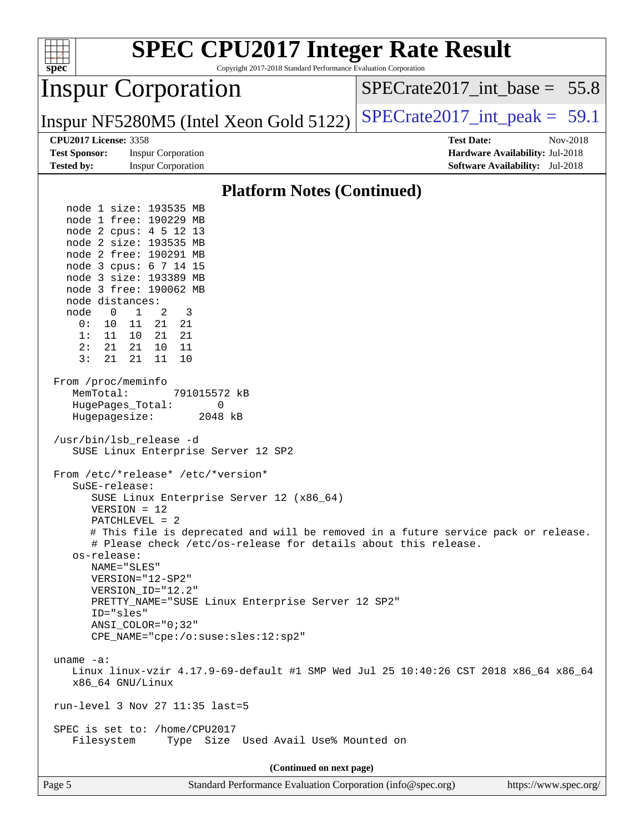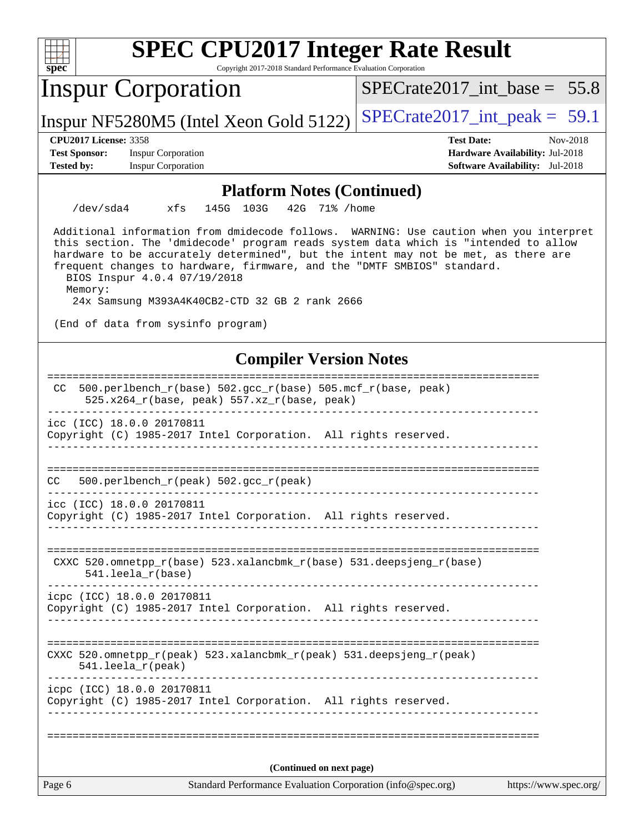| <b>SPEC CPU2017 Integer Rate Result</b><br>Copyright 2017-2018 Standard Performance Evaluation Corporation                                                                                                                                                                                                                                                                                                                                                                        |                                        |  |  |  |  |
|-----------------------------------------------------------------------------------------------------------------------------------------------------------------------------------------------------------------------------------------------------------------------------------------------------------------------------------------------------------------------------------------------------------------------------------------------------------------------------------|----------------------------------------|--|--|--|--|
| $spec^*$<br><b>Inspur Corporation</b>                                                                                                                                                                                                                                                                                                                                                                                                                                             | $SPECrate2017\_int\_base = 55.8$       |  |  |  |  |
| Inspur NF5280M5 (Intel Xeon Gold 5122)                                                                                                                                                                                                                                                                                                                                                                                                                                            | $SPECrate2017\_int\_peak = 59.1$       |  |  |  |  |
| <b>CPU2017 License: 3358</b>                                                                                                                                                                                                                                                                                                                                                                                                                                                      | <b>Test Date:</b><br>Nov-2018          |  |  |  |  |
| <b>Test Sponsor:</b><br><b>Inspur Corporation</b>                                                                                                                                                                                                                                                                                                                                                                                                                                 | Hardware Availability: Jul-2018        |  |  |  |  |
| <b>Inspur Corporation</b><br><b>Tested by:</b>                                                                                                                                                                                                                                                                                                                                                                                                                                    | <b>Software Availability:</b> Jul-2018 |  |  |  |  |
| <b>Platform Notes (Continued)</b>                                                                                                                                                                                                                                                                                                                                                                                                                                                 |                                        |  |  |  |  |
| $/\text{dev/sda4}$<br>xfs<br>145G 103G<br>42G 71% / home                                                                                                                                                                                                                                                                                                                                                                                                                          |                                        |  |  |  |  |
| Additional information from dmidecode follows. WARNING: Use caution when you interpret<br>this section. The 'dmidecode' program reads system data which is "intended to allow<br>hardware to be accurately determined", but the intent may not be met, as there are<br>frequent changes to hardware, firmware, and the "DMTF SMBIOS" standard.<br>BIOS Inspur 4.0.4 07/19/2018<br>Memory:<br>24x Samsung M393A4K40CB2-CTD 32 GB 2 rank 2666<br>(End of data from sysinfo program) |                                        |  |  |  |  |
|                                                                                                                                                                                                                                                                                                                                                                                                                                                                                   |                                        |  |  |  |  |
| <b>Compiler Version Notes</b>                                                                                                                                                                                                                                                                                                                                                                                                                                                     |                                        |  |  |  |  |
| 500.perlbench_r(base) 502.gcc_r(base) 505.mcf_r(base, peak)<br>CC.<br>525.x264_r(base, peak) 557.xz_r(base, peak)                                                                                                                                                                                                                                                                                                                                                                 | :=====================                 |  |  |  |  |
| icc (ICC) 18.0.0 20170811<br>Copyright (C) 1985-2017 Intel Corporation. All rights reserved.                                                                                                                                                                                                                                                                                                                                                                                      |                                        |  |  |  |  |
| 500.perlbench_r(peak) 502.gcc_r(peak)<br>CC                                                                                                                                                                                                                                                                                                                                                                                                                                       |                                        |  |  |  |  |
| icc (ICC) 18.0.0 20170811<br>Copyright (C) 1985-2017 Intel Corporation. All rights reserved.                                                                                                                                                                                                                                                                                                                                                                                      |                                        |  |  |  |  |
| CXXC 520.omnetpp_r(base) 523.xalancbmk_r(base) 531.deepsjeng_r(base)<br>$541.$ leela r(base)                                                                                                                                                                                                                                                                                                                                                                                      |                                        |  |  |  |  |
| icpc (ICC) 18.0.0 20170811<br>Copyright (C) 1985-2017 Intel Corporation. All rights reserved.                                                                                                                                                                                                                                                                                                                                                                                     |                                        |  |  |  |  |
| CXXC 520.omnetpp_r(peak) 523.xalancbmk_r(peak) 531.deepsjeng_r(peak)<br>541.leela_r(peak)                                                                                                                                                                                                                                                                                                                                                                                         |                                        |  |  |  |  |
| icpc (ICC) 18.0.0 20170811<br>Copyright (C) 1985-2017 Intel Corporation. All rights reserved.                                                                                                                                                                                                                                                                                                                                                                                     |                                        |  |  |  |  |
|                                                                                                                                                                                                                                                                                                                                                                                                                                                                                   |                                        |  |  |  |  |
|                                                                                                                                                                                                                                                                                                                                                                                                                                                                                   |                                        |  |  |  |  |
| (Continued on next page)                                                                                                                                                                                                                                                                                                                                                                                                                                                          |                                        |  |  |  |  |
| Standard Performance Evaluation Corporation (info@spec.org)<br>Page 6                                                                                                                                                                                                                                                                                                                                                                                                             | https://www.spec.org/                  |  |  |  |  |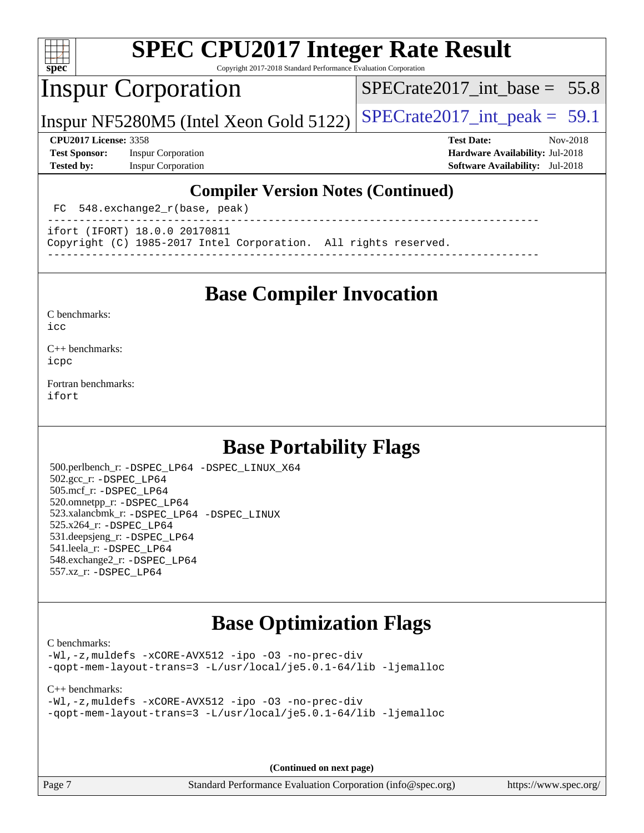

Copyright 2017-2018 Standard Performance Evaluation Corporation

## Inspur Corporation

SPECrate2017 int\_base =  $55.8$ 

Inspur NF5280M5 (Intel Xeon Gold 5122)  $|SPECrate2017\_int\_peak = 59.1$ 

**[Test Sponsor:](http://www.spec.org/auto/cpu2017/Docs/result-fields.html#TestSponsor)** Inspur Corporation **[Hardware Availability:](http://www.spec.org/auto/cpu2017/Docs/result-fields.html#HardwareAvailability)** Jul-2018 **[Tested by:](http://www.spec.org/auto/cpu2017/Docs/result-fields.html#Testedby)** Inspur Corporation **[Software Availability:](http://www.spec.org/auto/cpu2017/Docs/result-fields.html#SoftwareAvailability)** Jul-2018

**[CPU2017 License:](http://www.spec.org/auto/cpu2017/Docs/result-fields.html#CPU2017License)** 3358 **[Test Date:](http://www.spec.org/auto/cpu2017/Docs/result-fields.html#TestDate)** Nov-2018

#### **[Compiler Version Notes \(Continued\)](http://www.spec.org/auto/cpu2017/Docs/result-fields.html#CompilerVersionNotes)**

FC 548.exchange2 r(base, peak) ------------------------------------------------------------------------------

ifort (IFORT) 18.0.0 20170811

Copyright (C) 1985-2017 Intel Corporation. All rights reserved.

**[Base Compiler Invocation](http://www.spec.org/auto/cpu2017/Docs/result-fields.html#BaseCompilerInvocation)**

------------------------------------------------------------------------------

[C benchmarks](http://www.spec.org/auto/cpu2017/Docs/result-fields.html#Cbenchmarks):  $i$ cc

[C++ benchmarks:](http://www.spec.org/auto/cpu2017/Docs/result-fields.html#CXXbenchmarks) [icpc](http://www.spec.org/cpu2017/results/res2018q4/cpu2017-20181211-10285.flags.html#user_CXXbase_intel_icpc_18.0_c510b6838c7f56d33e37e94d029a35b4a7bccf4766a728ee175e80a419847e808290a9b78be685c44ab727ea267ec2f070ec5dc83b407c0218cded6866a35d07)

[Fortran benchmarks](http://www.spec.org/auto/cpu2017/Docs/result-fields.html#Fortranbenchmarks): [ifort](http://www.spec.org/cpu2017/results/res2018q4/cpu2017-20181211-10285.flags.html#user_FCbase_intel_ifort_18.0_8111460550e3ca792625aed983ce982f94888b8b503583aa7ba2b8303487b4d8a21a13e7191a45c5fd58ff318f48f9492884d4413fa793fd88dd292cad7027ca)

## **[Base Portability Flags](http://www.spec.org/auto/cpu2017/Docs/result-fields.html#BasePortabilityFlags)**

 500.perlbench\_r: [-DSPEC\\_LP64](http://www.spec.org/cpu2017/results/res2018q4/cpu2017-20181211-10285.flags.html#b500.perlbench_r_basePORTABILITY_DSPEC_LP64) [-DSPEC\\_LINUX\\_X64](http://www.spec.org/cpu2017/results/res2018q4/cpu2017-20181211-10285.flags.html#b500.perlbench_r_baseCPORTABILITY_DSPEC_LINUX_X64) 502.gcc\_r: [-DSPEC\\_LP64](http://www.spec.org/cpu2017/results/res2018q4/cpu2017-20181211-10285.flags.html#suite_basePORTABILITY502_gcc_r_DSPEC_LP64) 505.mcf\_r: [-DSPEC\\_LP64](http://www.spec.org/cpu2017/results/res2018q4/cpu2017-20181211-10285.flags.html#suite_basePORTABILITY505_mcf_r_DSPEC_LP64) 520.omnetpp\_r: [-DSPEC\\_LP64](http://www.spec.org/cpu2017/results/res2018q4/cpu2017-20181211-10285.flags.html#suite_basePORTABILITY520_omnetpp_r_DSPEC_LP64) 523.xalancbmk\_r: [-DSPEC\\_LP64](http://www.spec.org/cpu2017/results/res2018q4/cpu2017-20181211-10285.flags.html#suite_basePORTABILITY523_xalancbmk_r_DSPEC_LP64) [-DSPEC\\_LINUX](http://www.spec.org/cpu2017/results/res2018q4/cpu2017-20181211-10285.flags.html#b523.xalancbmk_r_baseCXXPORTABILITY_DSPEC_LINUX) 525.x264\_r: [-DSPEC\\_LP64](http://www.spec.org/cpu2017/results/res2018q4/cpu2017-20181211-10285.flags.html#suite_basePORTABILITY525_x264_r_DSPEC_LP64) 531.deepsjeng\_r: [-DSPEC\\_LP64](http://www.spec.org/cpu2017/results/res2018q4/cpu2017-20181211-10285.flags.html#suite_basePORTABILITY531_deepsjeng_r_DSPEC_LP64) 541.leela\_r: [-DSPEC\\_LP64](http://www.spec.org/cpu2017/results/res2018q4/cpu2017-20181211-10285.flags.html#suite_basePORTABILITY541_leela_r_DSPEC_LP64) 548.exchange2\_r: [-DSPEC\\_LP64](http://www.spec.org/cpu2017/results/res2018q4/cpu2017-20181211-10285.flags.html#suite_basePORTABILITY548_exchange2_r_DSPEC_LP64) 557.xz\_r: [-DSPEC\\_LP64](http://www.spec.org/cpu2017/results/res2018q4/cpu2017-20181211-10285.flags.html#suite_basePORTABILITY557_xz_r_DSPEC_LP64)

### **[Base Optimization Flags](http://www.spec.org/auto/cpu2017/Docs/result-fields.html#BaseOptimizationFlags)**

[C benchmarks](http://www.spec.org/auto/cpu2017/Docs/result-fields.html#Cbenchmarks):

[-Wl,-z,muldefs](http://www.spec.org/cpu2017/results/res2018q4/cpu2017-20181211-10285.flags.html#user_CCbase_link_force_multiple1_b4cbdb97b34bdee9ceefcfe54f4c8ea74255f0b02a4b23e853cdb0e18eb4525ac79b5a88067c842dd0ee6996c24547a27a4b99331201badda8798ef8a743f577) [-xCORE-AVX512](http://www.spec.org/cpu2017/results/res2018q4/cpu2017-20181211-10285.flags.html#user_CCbase_f-xCORE-AVX512) [-ipo](http://www.spec.org/cpu2017/results/res2018q4/cpu2017-20181211-10285.flags.html#user_CCbase_f-ipo) [-O3](http://www.spec.org/cpu2017/results/res2018q4/cpu2017-20181211-10285.flags.html#user_CCbase_f-O3) [-no-prec-div](http://www.spec.org/cpu2017/results/res2018q4/cpu2017-20181211-10285.flags.html#user_CCbase_f-no-prec-div) [-qopt-mem-layout-trans=3](http://www.spec.org/cpu2017/results/res2018q4/cpu2017-20181211-10285.flags.html#user_CCbase_f-qopt-mem-layout-trans_de80db37974c74b1f0e20d883f0b675c88c3b01e9d123adea9b28688d64333345fb62bc4a798493513fdb68f60282f9a726aa07f478b2f7113531aecce732043) [-L/usr/local/je5.0.1-64/lib](http://www.spec.org/cpu2017/results/res2018q4/cpu2017-20181211-10285.flags.html#user_CCbase_jemalloc_link_path64_4b10a636b7bce113509b17f3bd0d6226c5fb2346b9178c2d0232c14f04ab830f976640479e5c33dc2bcbbdad86ecfb6634cbbd4418746f06f368b512fced5394) [-ljemalloc](http://www.spec.org/cpu2017/results/res2018q4/cpu2017-20181211-10285.flags.html#user_CCbase_jemalloc_link_lib_d1249b907c500fa1c0672f44f562e3d0f79738ae9e3c4a9c376d49f265a04b9c99b167ecedbf6711b3085be911c67ff61f150a17b3472be731631ba4d0471706)

[C++ benchmarks:](http://www.spec.org/auto/cpu2017/Docs/result-fields.html#CXXbenchmarks)

[-Wl,-z,muldefs](http://www.spec.org/cpu2017/results/res2018q4/cpu2017-20181211-10285.flags.html#user_CXXbase_link_force_multiple1_b4cbdb97b34bdee9ceefcfe54f4c8ea74255f0b02a4b23e853cdb0e18eb4525ac79b5a88067c842dd0ee6996c24547a27a4b99331201badda8798ef8a743f577) [-xCORE-AVX512](http://www.spec.org/cpu2017/results/res2018q4/cpu2017-20181211-10285.flags.html#user_CXXbase_f-xCORE-AVX512) [-ipo](http://www.spec.org/cpu2017/results/res2018q4/cpu2017-20181211-10285.flags.html#user_CXXbase_f-ipo) [-O3](http://www.spec.org/cpu2017/results/res2018q4/cpu2017-20181211-10285.flags.html#user_CXXbase_f-O3) [-no-prec-div](http://www.spec.org/cpu2017/results/res2018q4/cpu2017-20181211-10285.flags.html#user_CXXbase_f-no-prec-div) [-qopt-mem-layout-trans=3](http://www.spec.org/cpu2017/results/res2018q4/cpu2017-20181211-10285.flags.html#user_CXXbase_f-qopt-mem-layout-trans_de80db37974c74b1f0e20d883f0b675c88c3b01e9d123adea9b28688d64333345fb62bc4a798493513fdb68f60282f9a726aa07f478b2f7113531aecce732043) [-L/usr/local/je5.0.1-64/lib](http://www.spec.org/cpu2017/results/res2018q4/cpu2017-20181211-10285.flags.html#user_CXXbase_jemalloc_link_path64_4b10a636b7bce113509b17f3bd0d6226c5fb2346b9178c2d0232c14f04ab830f976640479e5c33dc2bcbbdad86ecfb6634cbbd4418746f06f368b512fced5394) [-ljemalloc](http://www.spec.org/cpu2017/results/res2018q4/cpu2017-20181211-10285.flags.html#user_CXXbase_jemalloc_link_lib_d1249b907c500fa1c0672f44f562e3d0f79738ae9e3c4a9c376d49f265a04b9c99b167ecedbf6711b3085be911c67ff61f150a17b3472be731631ba4d0471706)

**(Continued on next page)**

Page 7 Standard Performance Evaluation Corporation [\(info@spec.org\)](mailto:info@spec.org) <https://www.spec.org/>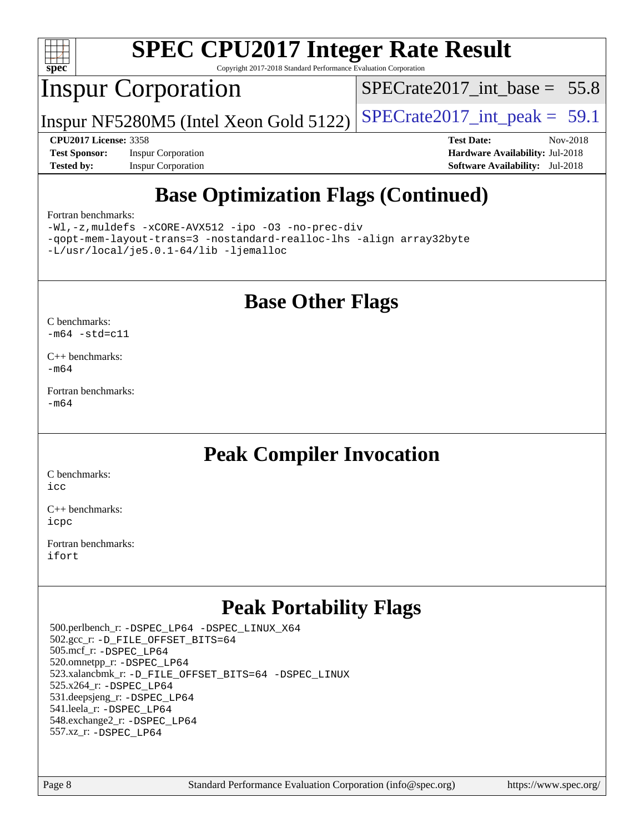

Copyright 2017-2018 Standard Performance Evaluation Corporation

## Inspur Corporation

SPECrate2017 int\_base =  $55.8$ 

Inspur NF5280M5 (Intel Xeon Gold 5122)  $|SPECrate2017\_int\_peak = 59.1$ 

**[Test Sponsor:](http://www.spec.org/auto/cpu2017/Docs/result-fields.html#TestSponsor)** Inspur Corporation **[Hardware Availability:](http://www.spec.org/auto/cpu2017/Docs/result-fields.html#HardwareAvailability)** Jul-2018 **[Tested by:](http://www.spec.org/auto/cpu2017/Docs/result-fields.html#Testedby)** Inspur Corporation **[Software Availability:](http://www.spec.org/auto/cpu2017/Docs/result-fields.html#SoftwareAvailability)** Jul-2018

**[CPU2017 License:](http://www.spec.org/auto/cpu2017/Docs/result-fields.html#CPU2017License)** 3358 **[Test Date:](http://www.spec.org/auto/cpu2017/Docs/result-fields.html#TestDate)** Nov-2018

## **[Base Optimization Flags \(Continued\)](http://www.spec.org/auto/cpu2017/Docs/result-fields.html#BaseOptimizationFlags)**

#### [Fortran benchmarks](http://www.spec.org/auto/cpu2017/Docs/result-fields.html#Fortranbenchmarks):

[-Wl,-z,muldefs](http://www.spec.org/cpu2017/results/res2018q4/cpu2017-20181211-10285.flags.html#user_FCbase_link_force_multiple1_b4cbdb97b34bdee9ceefcfe54f4c8ea74255f0b02a4b23e853cdb0e18eb4525ac79b5a88067c842dd0ee6996c24547a27a4b99331201badda8798ef8a743f577) [-xCORE-AVX512](http://www.spec.org/cpu2017/results/res2018q4/cpu2017-20181211-10285.flags.html#user_FCbase_f-xCORE-AVX512) [-ipo](http://www.spec.org/cpu2017/results/res2018q4/cpu2017-20181211-10285.flags.html#user_FCbase_f-ipo) [-O3](http://www.spec.org/cpu2017/results/res2018q4/cpu2017-20181211-10285.flags.html#user_FCbase_f-O3) [-no-prec-div](http://www.spec.org/cpu2017/results/res2018q4/cpu2017-20181211-10285.flags.html#user_FCbase_f-no-prec-div) [-qopt-mem-layout-trans=3](http://www.spec.org/cpu2017/results/res2018q4/cpu2017-20181211-10285.flags.html#user_FCbase_f-qopt-mem-layout-trans_de80db37974c74b1f0e20d883f0b675c88c3b01e9d123adea9b28688d64333345fb62bc4a798493513fdb68f60282f9a726aa07f478b2f7113531aecce732043) [-nostandard-realloc-lhs](http://www.spec.org/cpu2017/results/res2018q4/cpu2017-20181211-10285.flags.html#user_FCbase_f_2003_std_realloc_82b4557e90729c0f113870c07e44d33d6f5a304b4f63d4c15d2d0f1fab99f5daaed73bdb9275d9ae411527f28b936061aa8b9c8f2d63842963b95c9dd6426b8a) [-align array32byte](http://www.spec.org/cpu2017/results/res2018q4/cpu2017-20181211-10285.flags.html#user_FCbase_align_array32byte_b982fe038af199962ba9a80c053b8342c548c85b40b8e86eb3cc33dee0d7986a4af373ac2d51c3f7cf710a18d62fdce2948f201cd044323541f22fc0fffc51b6) [-L/usr/local/je5.0.1-64/lib](http://www.spec.org/cpu2017/results/res2018q4/cpu2017-20181211-10285.flags.html#user_FCbase_jemalloc_link_path64_4b10a636b7bce113509b17f3bd0d6226c5fb2346b9178c2d0232c14f04ab830f976640479e5c33dc2bcbbdad86ecfb6634cbbd4418746f06f368b512fced5394) [-ljemalloc](http://www.spec.org/cpu2017/results/res2018q4/cpu2017-20181211-10285.flags.html#user_FCbase_jemalloc_link_lib_d1249b907c500fa1c0672f44f562e3d0f79738ae9e3c4a9c376d49f265a04b9c99b167ecedbf6711b3085be911c67ff61f150a17b3472be731631ba4d0471706)

### **[Base Other Flags](http://www.spec.org/auto/cpu2017/Docs/result-fields.html#BaseOtherFlags)**

[C benchmarks](http://www.spec.org/auto/cpu2017/Docs/result-fields.html#Cbenchmarks):  $-m64 - std= c11$  $-m64 - std= c11$ 

[C++ benchmarks:](http://www.spec.org/auto/cpu2017/Docs/result-fields.html#CXXbenchmarks) [-m64](http://www.spec.org/cpu2017/results/res2018q4/cpu2017-20181211-10285.flags.html#user_CXXbase_intel_intel64_18.0_af43caccfc8ded86e7699f2159af6efc7655f51387b94da716254467f3c01020a5059329e2569e4053f409e7c9202a7efc638f7a6d1ffb3f52dea4a3e31d82ab)

[Fortran benchmarks](http://www.spec.org/auto/cpu2017/Docs/result-fields.html#Fortranbenchmarks): [-m64](http://www.spec.org/cpu2017/results/res2018q4/cpu2017-20181211-10285.flags.html#user_FCbase_intel_intel64_18.0_af43caccfc8ded86e7699f2159af6efc7655f51387b94da716254467f3c01020a5059329e2569e4053f409e7c9202a7efc638f7a6d1ffb3f52dea4a3e31d82ab)

### **[Peak Compiler Invocation](http://www.spec.org/auto/cpu2017/Docs/result-fields.html#PeakCompilerInvocation)**

[C benchmarks](http://www.spec.org/auto/cpu2017/Docs/result-fields.html#Cbenchmarks): [icc](http://www.spec.org/cpu2017/results/res2018q4/cpu2017-20181211-10285.flags.html#user_CCpeak_intel_icc_18.0_66fc1ee009f7361af1fbd72ca7dcefbb700085f36577c54f309893dd4ec40d12360134090235512931783d35fd58c0460139e722d5067c5574d8eaf2b3e37e92)

[C++ benchmarks:](http://www.spec.org/auto/cpu2017/Docs/result-fields.html#CXXbenchmarks) [icpc](http://www.spec.org/cpu2017/results/res2018q4/cpu2017-20181211-10285.flags.html#user_CXXpeak_intel_icpc_18.0_c510b6838c7f56d33e37e94d029a35b4a7bccf4766a728ee175e80a419847e808290a9b78be685c44ab727ea267ec2f070ec5dc83b407c0218cded6866a35d07)

[Fortran benchmarks](http://www.spec.org/auto/cpu2017/Docs/result-fields.html#Fortranbenchmarks): [ifort](http://www.spec.org/cpu2017/results/res2018q4/cpu2017-20181211-10285.flags.html#user_FCpeak_intel_ifort_18.0_8111460550e3ca792625aed983ce982f94888b8b503583aa7ba2b8303487b4d8a21a13e7191a45c5fd58ff318f48f9492884d4413fa793fd88dd292cad7027ca)

## **[Peak Portability Flags](http://www.spec.org/auto/cpu2017/Docs/result-fields.html#PeakPortabilityFlags)**

 500.perlbench\_r: [-DSPEC\\_LP64](http://www.spec.org/cpu2017/results/res2018q4/cpu2017-20181211-10285.flags.html#b500.perlbench_r_peakPORTABILITY_DSPEC_LP64) [-DSPEC\\_LINUX\\_X64](http://www.spec.org/cpu2017/results/res2018q4/cpu2017-20181211-10285.flags.html#b500.perlbench_r_peakCPORTABILITY_DSPEC_LINUX_X64) 502.gcc\_r: [-D\\_FILE\\_OFFSET\\_BITS=64](http://www.spec.org/cpu2017/results/res2018q4/cpu2017-20181211-10285.flags.html#user_peakPORTABILITY502_gcc_r_file_offset_bits_64_5ae949a99b284ddf4e95728d47cb0843d81b2eb0e18bdfe74bbf0f61d0b064f4bda2f10ea5eb90e1dcab0e84dbc592acfc5018bc955c18609f94ddb8d550002c) 505.mcf\_r: [-DSPEC\\_LP64](http://www.spec.org/cpu2017/results/res2018q4/cpu2017-20181211-10285.flags.html#suite_peakPORTABILITY505_mcf_r_DSPEC_LP64) 520.omnetpp\_r: [-DSPEC\\_LP64](http://www.spec.org/cpu2017/results/res2018q4/cpu2017-20181211-10285.flags.html#suite_peakPORTABILITY520_omnetpp_r_DSPEC_LP64) 523.xalancbmk\_r: [-D\\_FILE\\_OFFSET\\_BITS=64](http://www.spec.org/cpu2017/results/res2018q4/cpu2017-20181211-10285.flags.html#user_peakPORTABILITY523_xalancbmk_r_file_offset_bits_64_5ae949a99b284ddf4e95728d47cb0843d81b2eb0e18bdfe74bbf0f61d0b064f4bda2f10ea5eb90e1dcab0e84dbc592acfc5018bc955c18609f94ddb8d550002c) [-DSPEC\\_LINUX](http://www.spec.org/cpu2017/results/res2018q4/cpu2017-20181211-10285.flags.html#b523.xalancbmk_r_peakCXXPORTABILITY_DSPEC_LINUX) 525.x264\_r: [-DSPEC\\_LP64](http://www.spec.org/cpu2017/results/res2018q4/cpu2017-20181211-10285.flags.html#suite_peakPORTABILITY525_x264_r_DSPEC_LP64) 531.deepsjeng\_r: [-DSPEC\\_LP64](http://www.spec.org/cpu2017/results/res2018q4/cpu2017-20181211-10285.flags.html#suite_peakPORTABILITY531_deepsjeng_r_DSPEC_LP64) 541.leela\_r: [-DSPEC\\_LP64](http://www.spec.org/cpu2017/results/res2018q4/cpu2017-20181211-10285.flags.html#suite_peakPORTABILITY541_leela_r_DSPEC_LP64) 548.exchange2\_r: [-DSPEC\\_LP64](http://www.spec.org/cpu2017/results/res2018q4/cpu2017-20181211-10285.flags.html#suite_peakPORTABILITY548_exchange2_r_DSPEC_LP64) 557.xz\_r: [-DSPEC\\_LP64](http://www.spec.org/cpu2017/results/res2018q4/cpu2017-20181211-10285.flags.html#suite_peakPORTABILITY557_xz_r_DSPEC_LP64)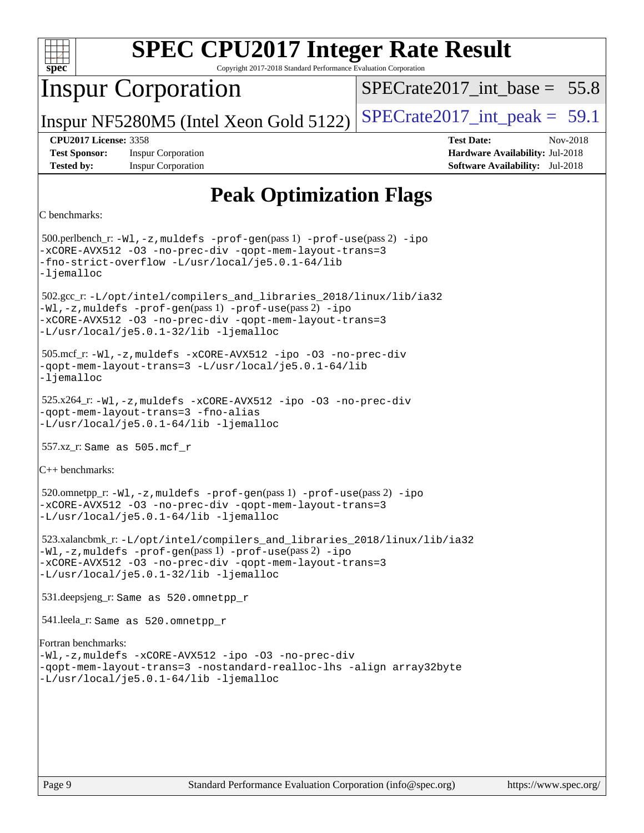

Copyright 2017-2018 Standard Performance Evaluation Corporation

## Inspur Corporation

SPECrate2017 int\_base =  $55.8$ 

Inspur NF5280M5 (Intel Xeon Gold 5122)  $|SPECrate2017\_int\_peak = 59.1$ 

**[Test Sponsor:](http://www.spec.org/auto/cpu2017/Docs/result-fields.html#TestSponsor)** Inspur Corporation **[Hardware Availability:](http://www.spec.org/auto/cpu2017/Docs/result-fields.html#HardwareAvailability)** Jul-2018 **[Tested by:](http://www.spec.org/auto/cpu2017/Docs/result-fields.html#Testedby)** Inspur Corporation **[Software Availability:](http://www.spec.org/auto/cpu2017/Docs/result-fields.html#SoftwareAvailability)** Jul-2018

**[CPU2017 License:](http://www.spec.org/auto/cpu2017/Docs/result-fields.html#CPU2017License)** 3358 **[Test Date:](http://www.spec.org/auto/cpu2017/Docs/result-fields.html#TestDate)** Nov-2018

## **[Peak Optimization Flags](http://www.spec.org/auto/cpu2017/Docs/result-fields.html#PeakOptimizationFlags)**

```
C benchmarks:
```
 500.perlbench\_r: [-Wl,-z,muldefs](http://www.spec.org/cpu2017/results/res2018q4/cpu2017-20181211-10285.flags.html#user_peakEXTRA_LDFLAGS500_perlbench_r_link_force_multiple1_b4cbdb97b34bdee9ceefcfe54f4c8ea74255f0b02a4b23e853cdb0e18eb4525ac79b5a88067c842dd0ee6996c24547a27a4b99331201badda8798ef8a743f577) [-prof-gen](http://www.spec.org/cpu2017/results/res2018q4/cpu2017-20181211-10285.flags.html#user_peakPASS1_CFLAGSPASS1_LDFLAGS500_perlbench_r_prof_gen_5aa4926d6013ddb2a31985c654b3eb18169fc0c6952a63635c234f711e6e63dd76e94ad52365559451ec499a2cdb89e4dc58ba4c67ef54ca681ffbe1461d6b36)(pass 1) [-prof-use](http://www.spec.org/cpu2017/results/res2018q4/cpu2017-20181211-10285.flags.html#user_peakPASS2_CFLAGSPASS2_LDFLAGS500_perlbench_r_prof_use_1a21ceae95f36a2b53c25747139a6c16ca95bd9def2a207b4f0849963b97e94f5260e30a0c64f4bb623698870e679ca08317ef8150905d41bd88c6f78df73f19)(pass 2) [-ipo](http://www.spec.org/cpu2017/results/res2018q4/cpu2017-20181211-10285.flags.html#user_peakPASS1_COPTIMIZEPASS2_COPTIMIZE500_perlbench_r_f-ipo) [-xCORE-AVX512](http://www.spec.org/cpu2017/results/res2018q4/cpu2017-20181211-10285.flags.html#user_peakPASS2_COPTIMIZE500_perlbench_r_f-xCORE-AVX512) [-O3](http://www.spec.org/cpu2017/results/res2018q4/cpu2017-20181211-10285.flags.html#user_peakPASS1_COPTIMIZEPASS2_COPTIMIZE500_perlbench_r_f-O3) [-no-prec-div](http://www.spec.org/cpu2017/results/res2018q4/cpu2017-20181211-10285.flags.html#user_peakPASS1_COPTIMIZEPASS2_COPTIMIZE500_perlbench_r_f-no-prec-div) [-qopt-mem-layout-trans=3](http://www.spec.org/cpu2017/results/res2018q4/cpu2017-20181211-10285.flags.html#user_peakPASS1_COPTIMIZEPASS2_COPTIMIZE500_perlbench_r_f-qopt-mem-layout-trans_de80db37974c74b1f0e20d883f0b675c88c3b01e9d123adea9b28688d64333345fb62bc4a798493513fdb68f60282f9a726aa07f478b2f7113531aecce732043) [-fno-strict-overflow](http://www.spec.org/cpu2017/results/res2018q4/cpu2017-20181211-10285.flags.html#user_peakEXTRA_OPTIMIZE500_perlbench_r_f-fno-strict-overflow) [-L/usr/local/je5.0.1-64/lib](http://www.spec.org/cpu2017/results/res2018q4/cpu2017-20181211-10285.flags.html#user_peakEXTRA_LIBS500_perlbench_r_jemalloc_link_path64_4b10a636b7bce113509b17f3bd0d6226c5fb2346b9178c2d0232c14f04ab830f976640479e5c33dc2bcbbdad86ecfb6634cbbd4418746f06f368b512fced5394) [-ljemalloc](http://www.spec.org/cpu2017/results/res2018q4/cpu2017-20181211-10285.flags.html#user_peakEXTRA_LIBS500_perlbench_r_jemalloc_link_lib_d1249b907c500fa1c0672f44f562e3d0f79738ae9e3c4a9c376d49f265a04b9c99b167ecedbf6711b3085be911c67ff61f150a17b3472be731631ba4d0471706) 502.gcc\_r: [-L/opt/intel/compilers\\_and\\_libraries\\_2018/linux/lib/ia32](http://www.spec.org/cpu2017/results/res2018q4/cpu2017-20181211-10285.flags.html#user_peakCCLD502_gcc_r_Enable-32bit-runtime_af243bdb1d79e4c7a4f720bf8275e627de2ecd461de63307bc14cef0633fde3cd7bb2facb32dcc8be9566045fb55d40ce2b72b725f73827aa7833441b71b9343) [-Wl,-z,muldefs](http://www.spec.org/cpu2017/results/res2018q4/cpu2017-20181211-10285.flags.html#user_peakEXTRA_LDFLAGS502_gcc_r_link_force_multiple1_b4cbdb97b34bdee9ceefcfe54f4c8ea74255f0b02a4b23e853cdb0e18eb4525ac79b5a88067c842dd0ee6996c24547a27a4b99331201badda8798ef8a743f577) [-prof-gen](http://www.spec.org/cpu2017/results/res2018q4/cpu2017-20181211-10285.flags.html#user_peakPASS1_CFLAGSPASS1_LDFLAGS502_gcc_r_prof_gen_5aa4926d6013ddb2a31985c654b3eb18169fc0c6952a63635c234f711e6e63dd76e94ad52365559451ec499a2cdb89e4dc58ba4c67ef54ca681ffbe1461d6b36)(pass 1) [-prof-use](http://www.spec.org/cpu2017/results/res2018q4/cpu2017-20181211-10285.flags.html#user_peakPASS2_CFLAGSPASS2_LDFLAGS502_gcc_r_prof_use_1a21ceae95f36a2b53c25747139a6c16ca95bd9def2a207b4f0849963b97e94f5260e30a0c64f4bb623698870e679ca08317ef8150905d41bd88c6f78df73f19)(pass 2) [-ipo](http://www.spec.org/cpu2017/results/res2018q4/cpu2017-20181211-10285.flags.html#user_peakPASS1_COPTIMIZEPASS2_COPTIMIZE502_gcc_r_f-ipo) [-xCORE-AVX512](http://www.spec.org/cpu2017/results/res2018q4/cpu2017-20181211-10285.flags.html#user_peakPASS2_COPTIMIZE502_gcc_r_f-xCORE-AVX512) [-O3](http://www.spec.org/cpu2017/results/res2018q4/cpu2017-20181211-10285.flags.html#user_peakPASS1_COPTIMIZEPASS2_COPTIMIZE502_gcc_r_f-O3) [-no-prec-div](http://www.spec.org/cpu2017/results/res2018q4/cpu2017-20181211-10285.flags.html#user_peakPASS1_COPTIMIZEPASS2_COPTIMIZE502_gcc_r_f-no-prec-div) [-qopt-mem-layout-trans=3](http://www.spec.org/cpu2017/results/res2018q4/cpu2017-20181211-10285.flags.html#user_peakPASS1_COPTIMIZEPASS2_COPTIMIZE502_gcc_r_f-qopt-mem-layout-trans_de80db37974c74b1f0e20d883f0b675c88c3b01e9d123adea9b28688d64333345fb62bc4a798493513fdb68f60282f9a726aa07f478b2f7113531aecce732043) [-L/usr/local/je5.0.1-32/lib](http://www.spec.org/cpu2017/results/res2018q4/cpu2017-20181211-10285.flags.html#user_peakEXTRA_LIBS502_gcc_r_jemalloc_link_path32_e29f22e8e6c17053bbc6a0971f5a9c01a601a06bb1a59df2084b77a2fe0a2995b64fd4256feaeea39eeba3aae142e96e2b2b0a28974019c0c0c88139a84f900a) [-ljemalloc](http://www.spec.org/cpu2017/results/res2018q4/cpu2017-20181211-10285.flags.html#user_peakEXTRA_LIBS502_gcc_r_jemalloc_link_lib_d1249b907c500fa1c0672f44f562e3d0f79738ae9e3c4a9c376d49f265a04b9c99b167ecedbf6711b3085be911c67ff61f150a17b3472be731631ba4d0471706) 505.mcf\_r: [-Wl,-z,muldefs](http://www.spec.org/cpu2017/results/res2018q4/cpu2017-20181211-10285.flags.html#user_peakEXTRA_LDFLAGS505_mcf_r_link_force_multiple1_b4cbdb97b34bdee9ceefcfe54f4c8ea74255f0b02a4b23e853cdb0e18eb4525ac79b5a88067c842dd0ee6996c24547a27a4b99331201badda8798ef8a743f577) [-xCORE-AVX512](http://www.spec.org/cpu2017/results/res2018q4/cpu2017-20181211-10285.flags.html#user_peakCOPTIMIZE505_mcf_r_f-xCORE-AVX512) [-ipo](http://www.spec.org/cpu2017/results/res2018q4/cpu2017-20181211-10285.flags.html#user_peakCOPTIMIZE505_mcf_r_f-ipo) [-O3](http://www.spec.org/cpu2017/results/res2018q4/cpu2017-20181211-10285.flags.html#user_peakCOPTIMIZE505_mcf_r_f-O3) [-no-prec-div](http://www.spec.org/cpu2017/results/res2018q4/cpu2017-20181211-10285.flags.html#user_peakCOPTIMIZE505_mcf_r_f-no-prec-div) [-qopt-mem-layout-trans=3](http://www.spec.org/cpu2017/results/res2018q4/cpu2017-20181211-10285.flags.html#user_peakCOPTIMIZE505_mcf_r_f-qopt-mem-layout-trans_de80db37974c74b1f0e20d883f0b675c88c3b01e9d123adea9b28688d64333345fb62bc4a798493513fdb68f60282f9a726aa07f478b2f7113531aecce732043) [-L/usr/local/je5.0.1-64/lib](http://www.spec.org/cpu2017/results/res2018q4/cpu2017-20181211-10285.flags.html#user_peakEXTRA_LIBS505_mcf_r_jemalloc_link_path64_4b10a636b7bce113509b17f3bd0d6226c5fb2346b9178c2d0232c14f04ab830f976640479e5c33dc2bcbbdad86ecfb6634cbbd4418746f06f368b512fced5394) [-ljemalloc](http://www.spec.org/cpu2017/results/res2018q4/cpu2017-20181211-10285.flags.html#user_peakEXTRA_LIBS505_mcf_r_jemalloc_link_lib_d1249b907c500fa1c0672f44f562e3d0f79738ae9e3c4a9c376d49f265a04b9c99b167ecedbf6711b3085be911c67ff61f150a17b3472be731631ba4d0471706) 525.x264\_r: [-Wl,-z,muldefs](http://www.spec.org/cpu2017/results/res2018q4/cpu2017-20181211-10285.flags.html#user_peakEXTRA_LDFLAGS525_x264_r_link_force_multiple1_b4cbdb97b34bdee9ceefcfe54f4c8ea74255f0b02a4b23e853cdb0e18eb4525ac79b5a88067c842dd0ee6996c24547a27a4b99331201badda8798ef8a743f577) [-xCORE-AVX512](http://www.spec.org/cpu2017/results/res2018q4/cpu2017-20181211-10285.flags.html#user_peakCOPTIMIZE525_x264_r_f-xCORE-AVX512) [-ipo](http://www.spec.org/cpu2017/results/res2018q4/cpu2017-20181211-10285.flags.html#user_peakCOPTIMIZE525_x264_r_f-ipo) [-O3](http://www.spec.org/cpu2017/results/res2018q4/cpu2017-20181211-10285.flags.html#user_peakCOPTIMIZE525_x264_r_f-O3) [-no-prec-div](http://www.spec.org/cpu2017/results/res2018q4/cpu2017-20181211-10285.flags.html#user_peakCOPTIMIZE525_x264_r_f-no-prec-div) [-qopt-mem-layout-trans=3](http://www.spec.org/cpu2017/results/res2018q4/cpu2017-20181211-10285.flags.html#user_peakCOPTIMIZE525_x264_r_f-qopt-mem-layout-trans_de80db37974c74b1f0e20d883f0b675c88c3b01e9d123adea9b28688d64333345fb62bc4a798493513fdb68f60282f9a726aa07f478b2f7113531aecce732043) [-fno-alias](http://www.spec.org/cpu2017/results/res2018q4/cpu2017-20181211-10285.flags.html#user_peakEXTRA_OPTIMIZE525_x264_r_f-no-alias_77dbac10d91cbfe898fbf4a29d1b29b694089caa623bdd1baccc9957d4edbe8d106c0b357e2748a65b44fc9e83d78098bb898077f3fe92f9faf24f7bd4a07ed7) [-L/usr/local/je5.0.1-64/lib](http://www.spec.org/cpu2017/results/res2018q4/cpu2017-20181211-10285.flags.html#user_peakEXTRA_LIBS525_x264_r_jemalloc_link_path64_4b10a636b7bce113509b17f3bd0d6226c5fb2346b9178c2d0232c14f04ab830f976640479e5c33dc2bcbbdad86ecfb6634cbbd4418746f06f368b512fced5394) [-ljemalloc](http://www.spec.org/cpu2017/results/res2018q4/cpu2017-20181211-10285.flags.html#user_peakEXTRA_LIBS525_x264_r_jemalloc_link_lib_d1249b907c500fa1c0672f44f562e3d0f79738ae9e3c4a9c376d49f265a04b9c99b167ecedbf6711b3085be911c67ff61f150a17b3472be731631ba4d0471706) 557.xz\_r: Same as 505.mcf\_r [C++ benchmarks](http://www.spec.org/auto/cpu2017/Docs/result-fields.html#CXXbenchmarks): 520.omnetpp\_r: [-Wl,-z,muldefs](http://www.spec.org/cpu2017/results/res2018q4/cpu2017-20181211-10285.flags.html#user_peakEXTRA_LDFLAGS520_omnetpp_r_link_force_multiple1_b4cbdb97b34bdee9ceefcfe54f4c8ea74255f0b02a4b23e853cdb0e18eb4525ac79b5a88067c842dd0ee6996c24547a27a4b99331201badda8798ef8a743f577) [-prof-gen](http://www.spec.org/cpu2017/results/res2018q4/cpu2017-20181211-10285.flags.html#user_peakPASS1_CXXFLAGSPASS1_LDFLAGS520_omnetpp_r_prof_gen_5aa4926d6013ddb2a31985c654b3eb18169fc0c6952a63635c234f711e6e63dd76e94ad52365559451ec499a2cdb89e4dc58ba4c67ef54ca681ffbe1461d6b36)(pass 1) [-prof-use](http://www.spec.org/cpu2017/results/res2018q4/cpu2017-20181211-10285.flags.html#user_peakPASS2_CXXFLAGSPASS2_LDFLAGS520_omnetpp_r_prof_use_1a21ceae95f36a2b53c25747139a6c16ca95bd9def2a207b4f0849963b97e94f5260e30a0c64f4bb623698870e679ca08317ef8150905d41bd88c6f78df73f19)(pass 2) [-ipo](http://www.spec.org/cpu2017/results/res2018q4/cpu2017-20181211-10285.flags.html#user_peakPASS1_CXXOPTIMIZEPASS2_CXXOPTIMIZE520_omnetpp_r_f-ipo) [-xCORE-AVX512](http://www.spec.org/cpu2017/results/res2018q4/cpu2017-20181211-10285.flags.html#user_peakPASS2_CXXOPTIMIZE520_omnetpp_r_f-xCORE-AVX512) [-O3](http://www.spec.org/cpu2017/results/res2018q4/cpu2017-20181211-10285.flags.html#user_peakPASS1_CXXOPTIMIZEPASS2_CXXOPTIMIZE520_omnetpp_r_f-O3) [-no-prec-div](http://www.spec.org/cpu2017/results/res2018q4/cpu2017-20181211-10285.flags.html#user_peakPASS1_CXXOPTIMIZEPASS2_CXXOPTIMIZE520_omnetpp_r_f-no-prec-div) [-qopt-mem-layout-trans=3](http://www.spec.org/cpu2017/results/res2018q4/cpu2017-20181211-10285.flags.html#user_peakPASS1_CXXOPTIMIZEPASS2_CXXOPTIMIZE520_omnetpp_r_f-qopt-mem-layout-trans_de80db37974c74b1f0e20d883f0b675c88c3b01e9d123adea9b28688d64333345fb62bc4a798493513fdb68f60282f9a726aa07f478b2f7113531aecce732043) [-L/usr/local/je5.0.1-64/lib](http://www.spec.org/cpu2017/results/res2018q4/cpu2017-20181211-10285.flags.html#user_peakEXTRA_LIBS520_omnetpp_r_jemalloc_link_path64_4b10a636b7bce113509b17f3bd0d6226c5fb2346b9178c2d0232c14f04ab830f976640479e5c33dc2bcbbdad86ecfb6634cbbd4418746f06f368b512fced5394) [-ljemalloc](http://www.spec.org/cpu2017/results/res2018q4/cpu2017-20181211-10285.flags.html#user_peakEXTRA_LIBS520_omnetpp_r_jemalloc_link_lib_d1249b907c500fa1c0672f44f562e3d0f79738ae9e3c4a9c376d49f265a04b9c99b167ecedbf6711b3085be911c67ff61f150a17b3472be731631ba4d0471706) 523.xalancbmk\_r: [-L/opt/intel/compilers\\_and\\_libraries\\_2018/linux/lib/ia32](http://www.spec.org/cpu2017/results/res2018q4/cpu2017-20181211-10285.flags.html#user_peakCXXLD523_xalancbmk_r_Enable-32bit-runtime_af243bdb1d79e4c7a4f720bf8275e627de2ecd461de63307bc14cef0633fde3cd7bb2facb32dcc8be9566045fb55d40ce2b72b725f73827aa7833441b71b9343) [-Wl,-z,muldefs](http://www.spec.org/cpu2017/results/res2018q4/cpu2017-20181211-10285.flags.html#user_peakEXTRA_LDFLAGS523_xalancbmk_r_link_force_multiple1_b4cbdb97b34bdee9ceefcfe54f4c8ea74255f0b02a4b23e853cdb0e18eb4525ac79b5a88067c842dd0ee6996c24547a27a4b99331201badda8798ef8a743f577) [-prof-gen](http://www.spec.org/cpu2017/results/res2018q4/cpu2017-20181211-10285.flags.html#user_peakPASS1_CXXFLAGSPASS1_LDFLAGS523_xalancbmk_r_prof_gen_5aa4926d6013ddb2a31985c654b3eb18169fc0c6952a63635c234f711e6e63dd76e94ad52365559451ec499a2cdb89e4dc58ba4c67ef54ca681ffbe1461d6b36)(pass 1) [-prof-use](http://www.spec.org/cpu2017/results/res2018q4/cpu2017-20181211-10285.flags.html#user_peakPASS2_CXXFLAGSPASS2_LDFLAGS523_xalancbmk_r_prof_use_1a21ceae95f36a2b53c25747139a6c16ca95bd9def2a207b4f0849963b97e94f5260e30a0c64f4bb623698870e679ca08317ef8150905d41bd88c6f78df73f19)(pass 2) [-ipo](http://www.spec.org/cpu2017/results/res2018q4/cpu2017-20181211-10285.flags.html#user_peakPASS1_CXXOPTIMIZEPASS2_CXXOPTIMIZE523_xalancbmk_r_f-ipo) [-xCORE-AVX512](http://www.spec.org/cpu2017/results/res2018q4/cpu2017-20181211-10285.flags.html#user_peakPASS2_CXXOPTIMIZE523_xalancbmk_r_f-xCORE-AVX512) [-O3](http://www.spec.org/cpu2017/results/res2018q4/cpu2017-20181211-10285.flags.html#user_peakPASS1_CXXOPTIMIZEPASS2_CXXOPTIMIZE523_xalancbmk_r_f-O3) [-no-prec-div](http://www.spec.org/cpu2017/results/res2018q4/cpu2017-20181211-10285.flags.html#user_peakPASS1_CXXOPTIMIZEPASS2_CXXOPTIMIZE523_xalancbmk_r_f-no-prec-div) [-qopt-mem-layout-trans=3](http://www.spec.org/cpu2017/results/res2018q4/cpu2017-20181211-10285.flags.html#user_peakPASS1_CXXOPTIMIZEPASS2_CXXOPTIMIZE523_xalancbmk_r_f-qopt-mem-layout-trans_de80db37974c74b1f0e20d883f0b675c88c3b01e9d123adea9b28688d64333345fb62bc4a798493513fdb68f60282f9a726aa07f478b2f7113531aecce732043) [-L/usr/local/je5.0.1-32/lib](http://www.spec.org/cpu2017/results/res2018q4/cpu2017-20181211-10285.flags.html#user_peakEXTRA_LIBS523_xalancbmk_r_jemalloc_link_path32_e29f22e8e6c17053bbc6a0971f5a9c01a601a06bb1a59df2084b77a2fe0a2995b64fd4256feaeea39eeba3aae142e96e2b2b0a28974019c0c0c88139a84f900a) [-ljemalloc](http://www.spec.org/cpu2017/results/res2018q4/cpu2017-20181211-10285.flags.html#user_peakEXTRA_LIBS523_xalancbmk_r_jemalloc_link_lib_d1249b907c500fa1c0672f44f562e3d0f79738ae9e3c4a9c376d49f265a04b9c99b167ecedbf6711b3085be911c67ff61f150a17b3472be731631ba4d0471706) 531.deepsjeng\_r: Same as 520.omnetpp\_r 541.leela\_r: Same as 520.omnetpp\_r [Fortran benchmarks:](http://www.spec.org/auto/cpu2017/Docs/result-fields.html#Fortranbenchmarks) [-Wl,-z,muldefs](http://www.spec.org/cpu2017/results/res2018q4/cpu2017-20181211-10285.flags.html#user_FCpeak_link_force_multiple1_b4cbdb97b34bdee9ceefcfe54f4c8ea74255f0b02a4b23e853cdb0e18eb4525ac79b5a88067c842dd0ee6996c24547a27a4b99331201badda8798ef8a743f577) [-xCORE-AVX512](http://www.spec.org/cpu2017/results/res2018q4/cpu2017-20181211-10285.flags.html#user_FCpeak_f-xCORE-AVX512) [-ipo](http://www.spec.org/cpu2017/results/res2018q4/cpu2017-20181211-10285.flags.html#user_FCpeak_f-ipo) [-O3](http://www.spec.org/cpu2017/results/res2018q4/cpu2017-20181211-10285.flags.html#user_FCpeak_f-O3) [-no-prec-div](http://www.spec.org/cpu2017/results/res2018q4/cpu2017-20181211-10285.flags.html#user_FCpeak_f-no-prec-div) [-qopt-mem-layout-trans=3](http://www.spec.org/cpu2017/results/res2018q4/cpu2017-20181211-10285.flags.html#user_FCpeak_f-qopt-mem-layout-trans_de80db37974c74b1f0e20d883f0b675c88c3b01e9d123adea9b28688d64333345fb62bc4a798493513fdb68f60282f9a726aa07f478b2f7113531aecce732043) [-nostandard-realloc-lhs](http://www.spec.org/cpu2017/results/res2018q4/cpu2017-20181211-10285.flags.html#user_FCpeak_f_2003_std_realloc_82b4557e90729c0f113870c07e44d33d6f5a304b4f63d4c15d2d0f1fab99f5daaed73bdb9275d9ae411527f28b936061aa8b9c8f2d63842963b95c9dd6426b8a) [-align array32byte](http://www.spec.org/cpu2017/results/res2018q4/cpu2017-20181211-10285.flags.html#user_FCpeak_align_array32byte_b982fe038af199962ba9a80c053b8342c548c85b40b8e86eb3cc33dee0d7986a4af373ac2d51c3f7cf710a18d62fdce2948f201cd044323541f22fc0fffc51b6) [-L/usr/local/je5.0.1-64/lib](http://www.spec.org/cpu2017/results/res2018q4/cpu2017-20181211-10285.flags.html#user_FCpeak_jemalloc_link_path64_4b10a636b7bce113509b17f3bd0d6226c5fb2346b9178c2d0232c14f04ab830f976640479e5c33dc2bcbbdad86ecfb6634cbbd4418746f06f368b512fced5394) [-ljemalloc](http://www.spec.org/cpu2017/results/res2018q4/cpu2017-20181211-10285.flags.html#user_FCpeak_jemalloc_link_lib_d1249b907c500fa1c0672f44f562e3d0f79738ae9e3c4a9c376d49f265a04b9c99b167ecedbf6711b3085be911c67ff61f150a17b3472be731631ba4d0471706)